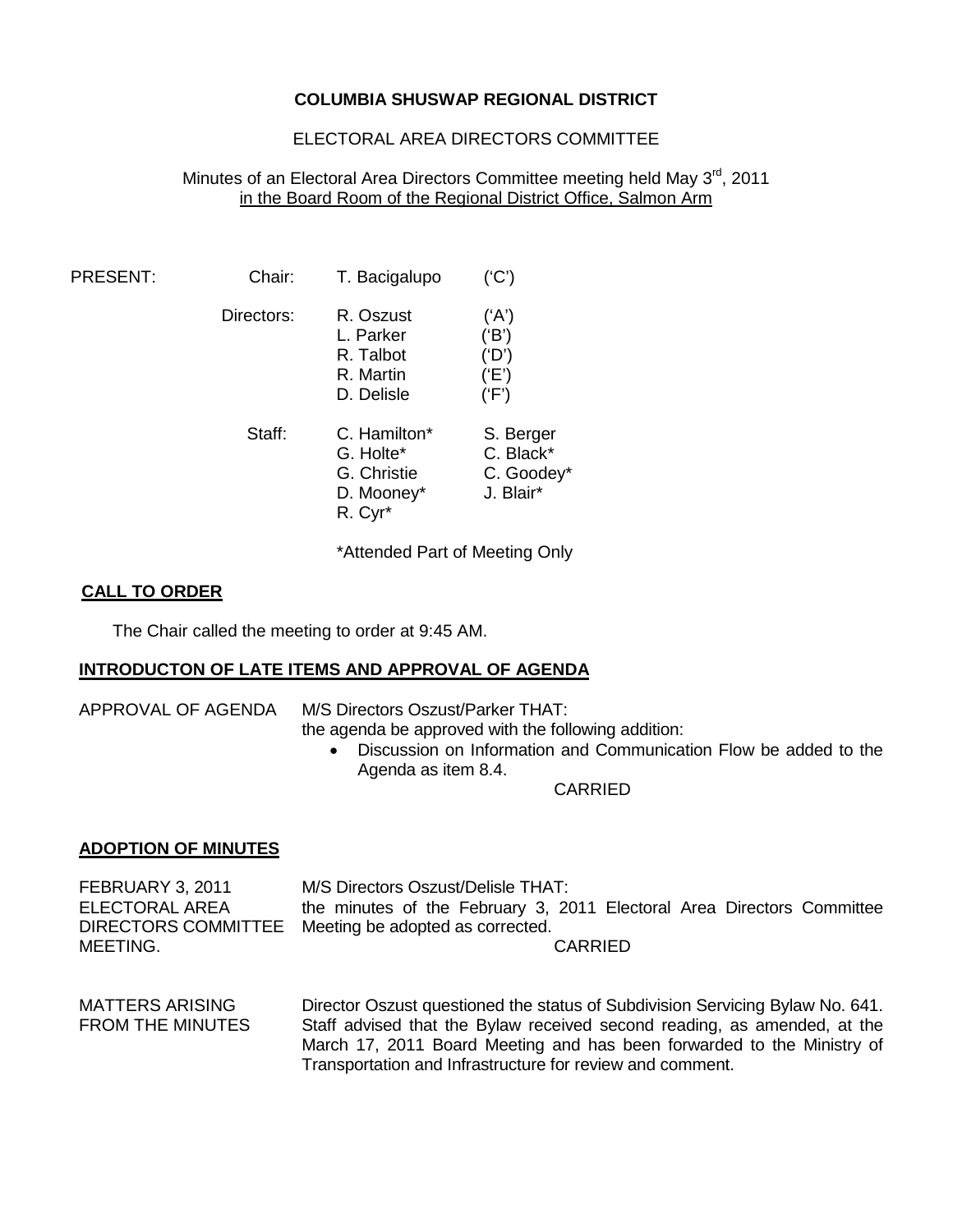## **COLUMBIA SHUSWAP REGIONAL DISTRICT**

# ELECTORAL AREA DIRECTORS COMMITTEE

## Minutes of an Electoral Area Directors Committee meeting held May 3<sup>rd</sup>, 2011 in the Board Room of the Regional District Office, Salmon Arm

| PRESENT: | Chair:     | T. Bacigalupo                                                                             | (C')                                              |
|----------|------------|-------------------------------------------------------------------------------------------|---------------------------------------------------|
|          | Directors: | R. Oszust<br>L. Parker<br>R. Talbot<br>R. Martin<br>D. Delisle                            | ('A')<br>('B')<br>('D')<br>('E')<br>(F')          |
|          | Staff:     | C. Hamilton <sup>*</sup><br>G. Holte*<br>G. Christie<br>D. Mooney*<br>R. Cyr <sup>*</sup> | S. Berger<br>C. Black*<br>C. Goodey*<br>J. Blair* |

\*Attended Part of Meeting Only

## **CALL TO ORDER**

The Chair called the meeting to order at 9:45 AM.

### **INTRODUCTON OF LATE ITEMS AND APPROVAL OF AGENDA**

APPROVAL OF AGENDA M/S Directors Oszust/Parker THAT:

|                            | the agenda be approved with the following addition:<br>Discussion on Information and Communication Flow be added to the<br>$\bullet$<br>Agenda as item 8.4. |
|----------------------------|-------------------------------------------------------------------------------------------------------------------------------------------------------------|
|                            | CARRIED                                                                                                                                                     |
| <b>ADOPTION OF MINUTES</b> |                                                                                                                                                             |

FEBRUARY 3, 2011 ELECTORAL AREA DIRECTORS COMMITTEE Meeting be adopted as corrected. MEETING. M/S Directors Oszust/Delisle THAT: the minutes of the February 3, 2011 Electoral Area Directors Committee CARRIED

MATTERS ARISING FROM THE MINUTES Director Oszust questioned the status of Subdivision Servicing Bylaw No. 641. Staff advised that the Bylaw received second reading, as amended, at the March 17, 2011 Board Meeting and has been forwarded to the Ministry of Transportation and Infrastructure for review and comment.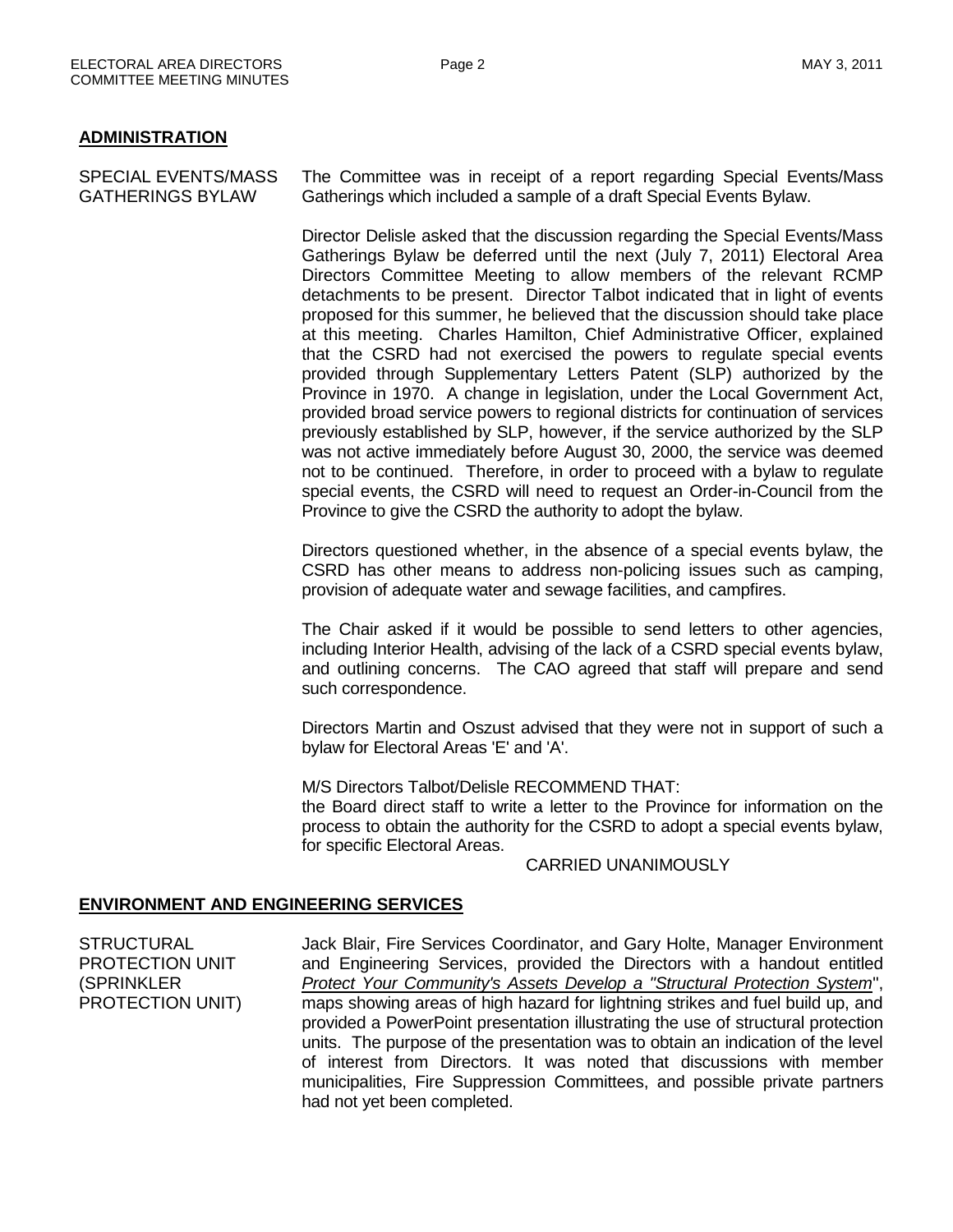#### **ADMINISTRATION**

SPECIAL EVENTS/MASS GATHERINGS BYLAW The Committee was in receipt of a report regarding Special Events/Mass Gatherings which included a sample of a draft Special Events Bylaw.

> Director Delisle asked that the discussion regarding the Special Events/Mass Gatherings Bylaw be deferred until the next (July 7, 2011) Electoral Area Directors Committee Meeting to allow members of the relevant RCMP detachments to be present. Director Talbot indicated that in light of events proposed for this summer, he believed that the discussion should take place at this meeting. Charles Hamilton, Chief Administrative Officer, explained that the CSRD had not exercised the powers to regulate special events provided through Supplementary Letters Patent (SLP) authorized by the Province in 1970. A change in legislation, under the Local Government Act, provided broad service powers to regional districts for continuation of services previously established by SLP, however, if the service authorized by the SLP was not active immediately before August 30, 2000, the service was deemed not to be continued. Therefore, in order to proceed with a bylaw to regulate special events, the CSRD will need to request an Order-in-Council from the Province to give the CSRD the authority to adopt the bylaw.

> Directors questioned whether, in the absence of a special events bylaw, the CSRD has other means to address non-policing issues such as camping, provision of adequate water and sewage facilities, and campfires.

> The Chair asked if it would be possible to send letters to other agencies, including Interior Health, advising of the lack of a CSRD special events bylaw, and outlining concerns. The CAO agreed that staff will prepare and send such correspondence.

> Directors Martin and Oszust advised that they were not in support of such a bylaw for Electoral Areas 'E' and 'A'.

> M/S Directors Talbot/Delisle RECOMMEND THAT: the Board direct staff to write a letter to the Province for information on the process to obtain the authority for the CSRD to adopt a special events bylaw, for specific Electoral Areas.

CARRIED UNANIMOUSLY

### **ENVIRONMENT AND ENGINEERING SERVICES**

**STRUCTURAL** PROTECTION UNIT (SPRINKLER PROTECTION UNIT) Jack Blair, Fire Services Coordinator, and Gary Holte, Manager Environment and Engineering Services, provided the Directors with a handout entitled *Protect Your Community's Assets Develop a "Structural Protection System*", maps showing areas of high hazard for lightning strikes and fuel build up, and provided a PowerPoint presentation illustrating the use of structural protection units. The purpose of the presentation was to obtain an indication of the level of interest from Directors. It was noted that discussions with member municipalities, Fire Suppression Committees, and possible private partners had not yet been completed.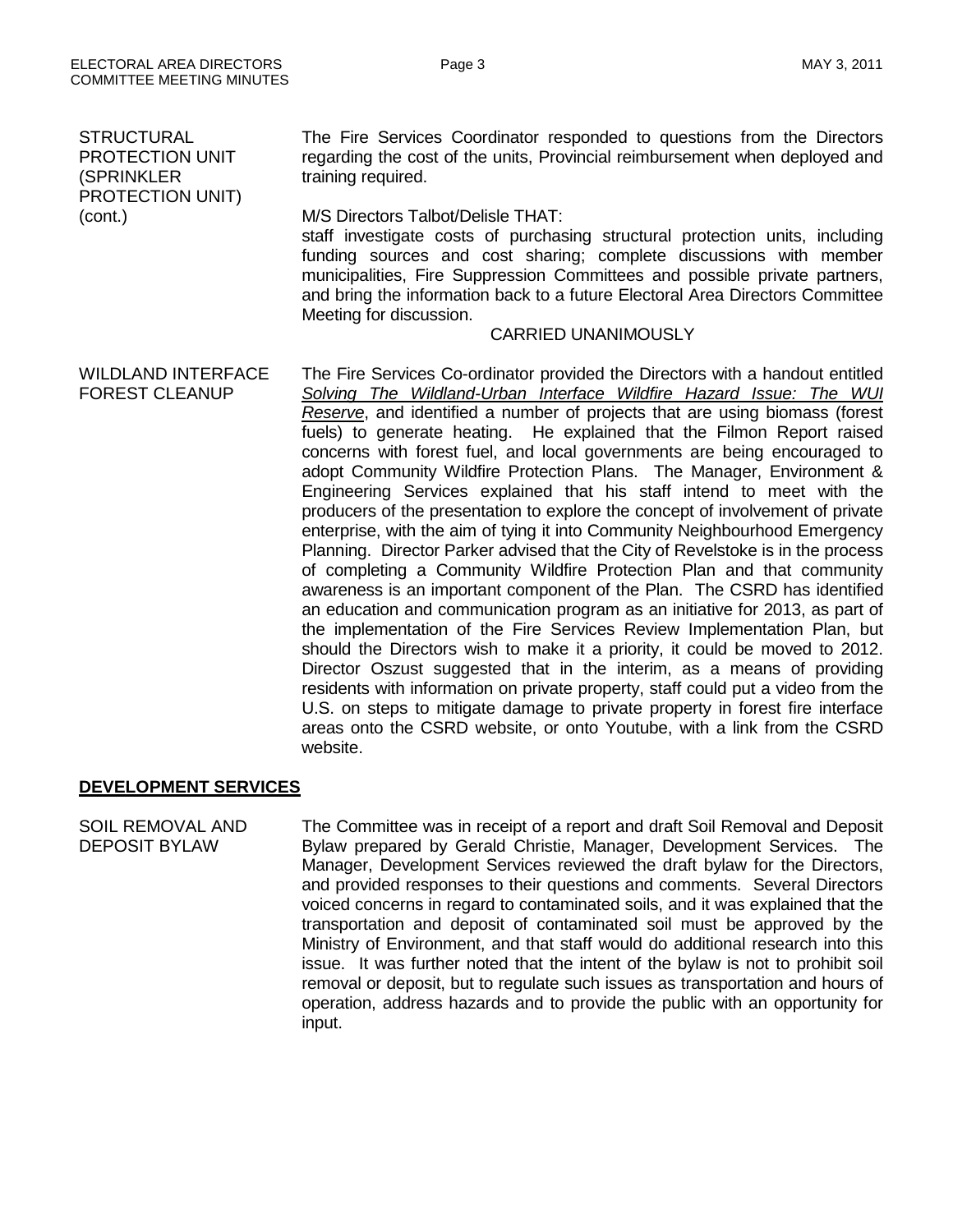| <b>STRUCTURAL</b><br>PROTECTION UNIT<br>(SPRINKLER<br><b>PROTECTION UNIT)</b><br>(cont.) | The Fire Services Coordinator responded to questions from the Directors<br>regarding the cost of the units, Provincial reimbursement when deployed and<br>training required.<br>M/S Directors Talbot/Delisle THAT:<br>staff investigate costs of purchasing structural protection units, including<br>funding sources and cost sharing; complete discussions with member<br>municipalities, Fire Suppression Committees and possible private partners,<br>and bring the information back to a future Electoral Area Directors Committee<br>Meeting for discussion.<br><b>CARRIED UNANIMOUSLY</b>                                                                                                                                                                                                                                                                                                                                                                                                                                                                                                                                                                                                                                                                                                                                                                                                                                                                                                                                     |
|------------------------------------------------------------------------------------------|--------------------------------------------------------------------------------------------------------------------------------------------------------------------------------------------------------------------------------------------------------------------------------------------------------------------------------------------------------------------------------------------------------------------------------------------------------------------------------------------------------------------------------------------------------------------------------------------------------------------------------------------------------------------------------------------------------------------------------------------------------------------------------------------------------------------------------------------------------------------------------------------------------------------------------------------------------------------------------------------------------------------------------------------------------------------------------------------------------------------------------------------------------------------------------------------------------------------------------------------------------------------------------------------------------------------------------------------------------------------------------------------------------------------------------------------------------------------------------------------------------------------------------------|
| <b>WILDLAND INTERFACE</b><br><b>FOREST CLEANUP</b>                                       | The Fire Services Co-ordinator provided the Directors with a handout entitled<br>Solving The Wildland-Urban Interface Wildfire Hazard Issue: The WUI<br>Reserve, and identified a number of projects that are using biomass (forest<br>fuels) to generate heating. He explained that the Filmon Report raised<br>concerns with forest fuel, and local governments are being encouraged to<br>adopt Community Wildfire Protection Plans. The Manager, Environment &<br>Engineering Services explained that his staff intend to meet with the<br>producers of the presentation to explore the concept of involvement of private<br>enterprise, with the aim of tying it into Community Neighbourhood Emergency<br>Planning. Director Parker advised that the City of Revelstoke is in the process<br>of completing a Community Wildfire Protection Plan and that community<br>awareness is an important component of the Plan. The CSRD has identified<br>an education and communication program as an initiative for 2013, as part of<br>the implementation of the Fire Services Review Implementation Plan, but<br>should the Directors wish to make it a priority, it could be moved to 2012.<br>Director Oszust suggested that in the interim, as a means of providing<br>residents with information on private property, staff could put a video from the<br>U.S. on steps to mitigate damage to private property in forest fire interface<br>areas onto the CSRD website, or onto Youtube, with a link from the CSRD<br>website. |

# **DEVELOPMENT SERVICES**

SOIL REMOVAL AND DEPOSIT BYLAW

The Committee was in receipt of a report and draft Soil Removal and Deposit Bylaw prepared by Gerald Christie, Manager, Development Services. The Manager, Development Services reviewed the draft bylaw for the Directors, and provided responses to their questions and comments. Several Directors voiced concerns in regard to contaminated soils, and it was explained that the transportation and deposit of contaminated soil must be approved by the Ministry of Environment, and that staff would do additional research into this issue. It was further noted that the intent of the bylaw is not to prohibit soil removal or deposit, but to regulate such issues as transportation and hours of operation, address hazards and to provide the public with an opportunity for input.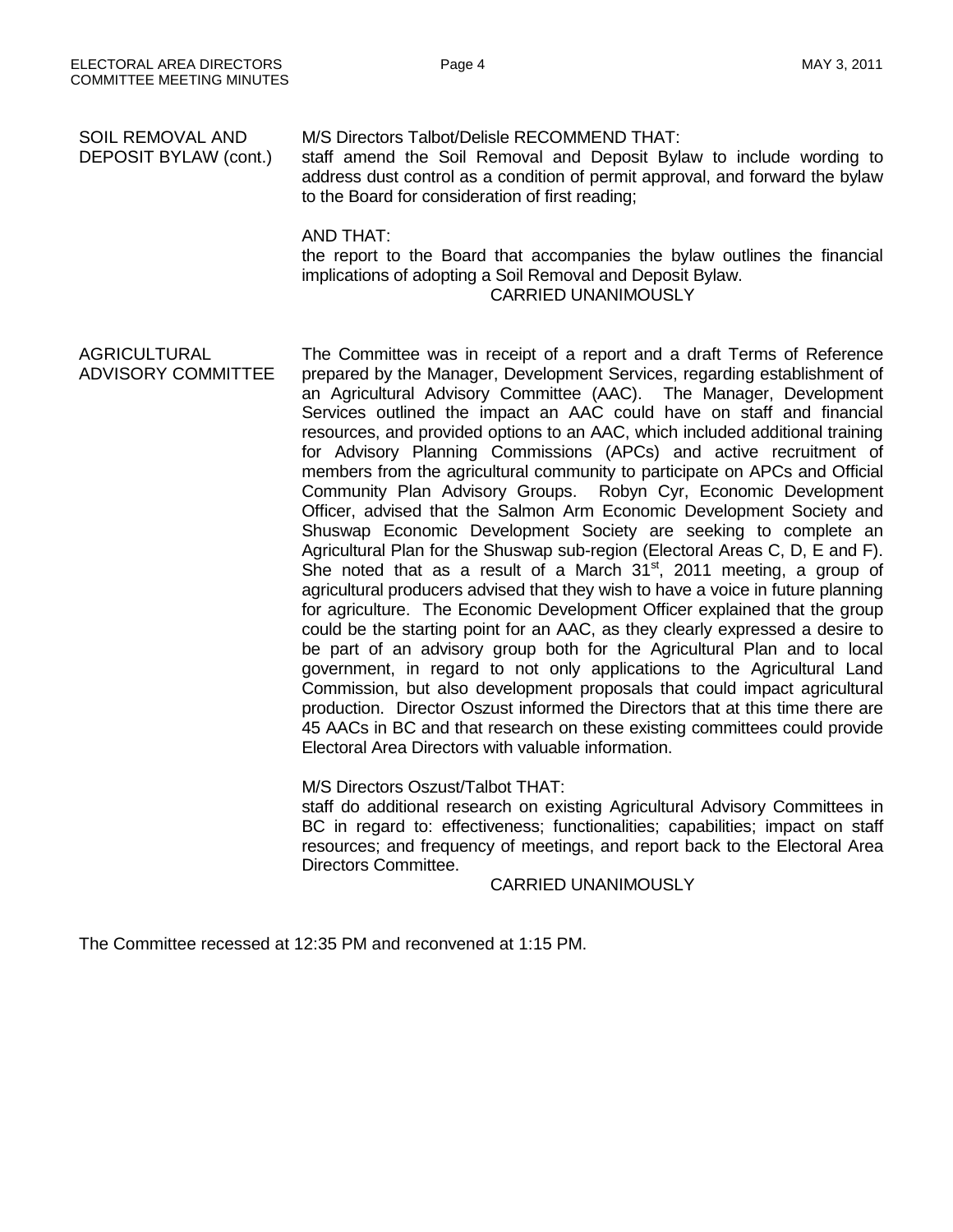| SOIL REMOVAL AND<br>DEPOSIT BYLAW (cont.)        | M/S Directors Talbot/Delisle RECOMMEND THAT:<br>staff amend the Soil Removal and Deposit Bylaw to include wording to<br>address dust control as a condition of permit approval, and forward the bylaw<br>to the Board for consideration of first reading;                                                                                                                                                                                                                                                                                                                                                                                                                                                                                                                                                                                                                                                                                                                                                                                                                                                                                                                                                                                                                                                                                                                                                                                                                                                                                                                                                                          |  |
|--------------------------------------------------|------------------------------------------------------------------------------------------------------------------------------------------------------------------------------------------------------------------------------------------------------------------------------------------------------------------------------------------------------------------------------------------------------------------------------------------------------------------------------------------------------------------------------------------------------------------------------------------------------------------------------------------------------------------------------------------------------------------------------------------------------------------------------------------------------------------------------------------------------------------------------------------------------------------------------------------------------------------------------------------------------------------------------------------------------------------------------------------------------------------------------------------------------------------------------------------------------------------------------------------------------------------------------------------------------------------------------------------------------------------------------------------------------------------------------------------------------------------------------------------------------------------------------------------------------------------------------------------------------------------------------------|--|
|                                                  | <b>AND THAT:</b><br>the report to the Board that accompanies the bylaw outlines the financial<br>implications of adopting a Soil Removal and Deposit Bylaw.<br><b>CARRIED UNANIMOUSLY</b>                                                                                                                                                                                                                                                                                                                                                                                                                                                                                                                                                                                                                                                                                                                                                                                                                                                                                                                                                                                                                                                                                                                                                                                                                                                                                                                                                                                                                                          |  |
| <b>AGRICULTURAL</b><br><b>ADVISORY COMMITTEE</b> | The Committee was in receipt of a report and a draft Terms of Reference<br>prepared by the Manager, Development Services, regarding establishment of<br>an Agricultural Advisory Committee (AAC). The Manager, Development<br>Services outlined the impact an AAC could have on staff and financial<br>resources, and provided options to an AAC, which included additional training<br>for Advisory Planning Commissions (APCs) and active recruitment of<br>members from the agricultural community to participate on APCs and Official<br>Community Plan Advisory Groups. Robyn Cyr, Economic Development<br>Officer, advised that the Salmon Arm Economic Development Society and<br>Shuswap Economic Development Society are seeking to complete an<br>Agricultural Plan for the Shuswap sub-region (Electoral Areas C, D, E and F).<br>She noted that as a result of a March $31st$ , 2011 meeting, a group of<br>agricultural producers advised that they wish to have a voice in future planning<br>for agriculture. The Economic Development Officer explained that the group<br>could be the starting point for an AAC, as they clearly expressed a desire to<br>be part of an advisory group both for the Agricultural Plan and to local<br>government, in regard to not only applications to the Agricultural Land<br>Commission, but also development proposals that could impact agricultural<br>production. Director Oszust informed the Directors that at this time there are<br>45 AACs in BC and that research on these existing committees could provide<br>Electoral Area Directors with valuable information. |  |

M/S Directors Oszust/Talbot THAT:

staff do additional research on existing Agricultural Advisory Committees in BC in regard to: effectiveness; functionalities; capabilities; impact on staff resources; and frequency of meetings, and report back to the Electoral Area Directors Committee.

CARRIED UNANIMOUSLY

The Committee recessed at 12:35 PM and reconvened at 1:15 PM.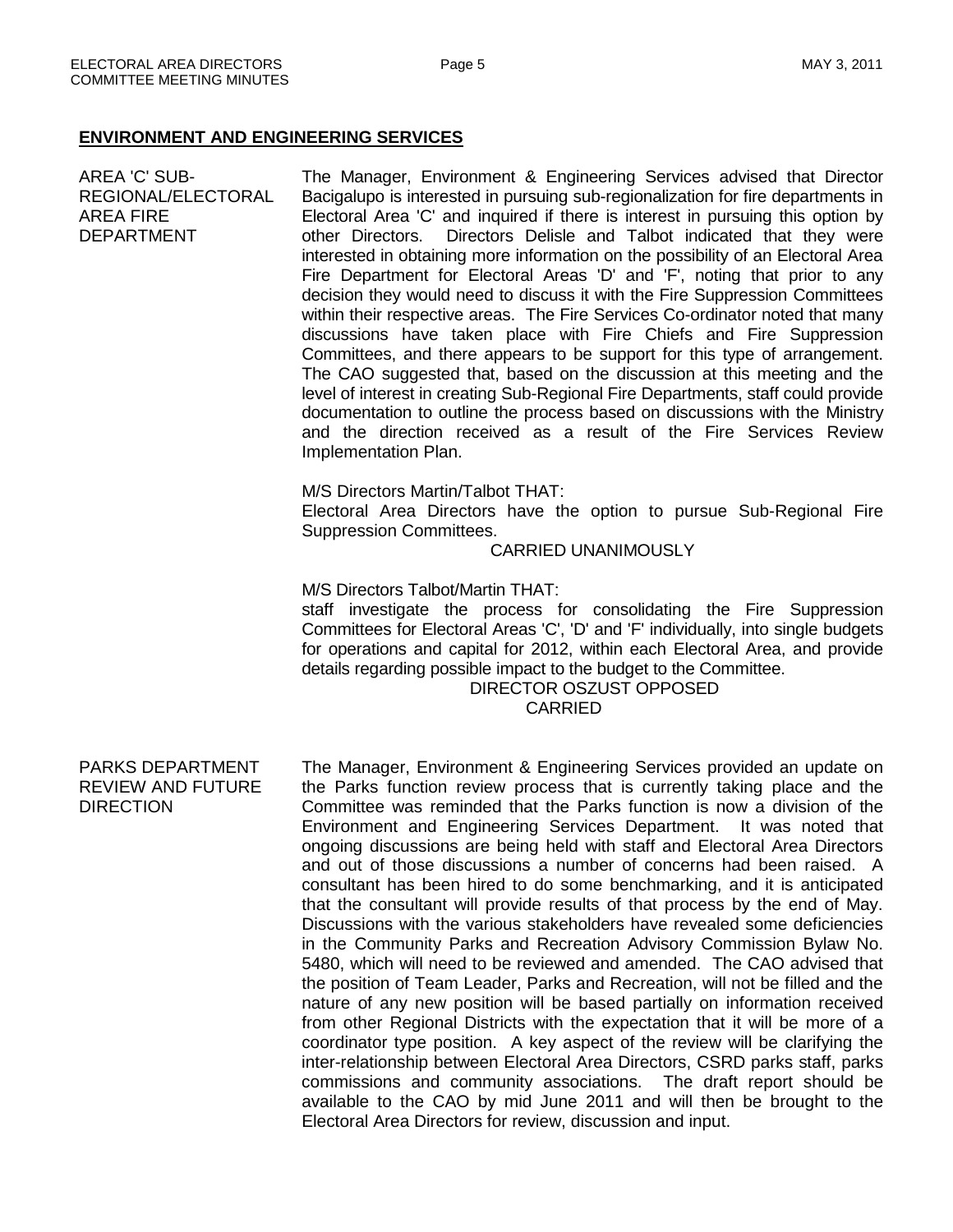#### **ENVIRONMENT AND ENGINEERING SERVICES**

AREA 'C' SUB-REGIONAL/ELECTORAL AREA FIRE DEPARTMENT The Manager, Environment & Engineering Services advised that Director Bacigalupo is interested in pursuing sub-regionalization for fire departments in Electoral Area 'C' and inquired if there is interest in pursuing this option by other Directors. Directors Delisle and Talbot indicated that they were interested in obtaining more information on the possibility of an Electoral Area Fire Department for Electoral Areas 'D' and 'F', noting that prior to any decision they would need to discuss it with the Fire Suppression Committees within their respective areas. The Fire Services Co-ordinator noted that many discussions have taken place with Fire Chiefs and Fire Suppression Committees, and there appears to be support for this type of arrangement. The CAO suggested that, based on the discussion at this meeting and the level of interest in creating Sub-Regional Fire Departments, staff could provide documentation to outline the process based on discussions with the Ministry and the direction received as a result of the Fire Services Review Implementation Plan. M/S Directors Martin/Talbot THAT: Electoral Area Directors have the option to pursue Sub-Regional Fire Suppression Committees. CARRIED UNANIMOUSLY M/S Directors Talbot/Martin THAT: staff investigate the process for consolidating the Fire Suppression Committees for Electoral Areas 'C', 'D' and 'F' individually, into single budgets for operations and capital for 2012, within each Electoral Area, and provide details regarding possible impact to the budget to the Committee. DIRECTOR OSZUST OPPOSED CARRIED PARKS DEPARTMENT REVIEW AND FUTURE DIRECTION The Manager, Environment & Engineering Services provided an update on the Parks function review process that is currently taking place and the Committee was reminded that the Parks function is now a division of the Environment and Engineering Services Department. It was noted that ongoing discussions are being held with staff and Electoral Area Directors and out of those discussions a number of concerns had been raised. A consultant has been hired to do some benchmarking, and it is anticipated that the consultant will provide results of that process by the end of May. Discussions with the various stakeholders have revealed some deficiencies in the Community Parks and Recreation Advisory Commission Bylaw No. 5480, which will need to be reviewed and amended. The CAO advised that the position of Team Leader, Parks and Recreation, will not be filled and the nature of any new position will be based partially on information received from other Regional Districts with the expectation that it will be more of a

coordinator type position. A key aspect of the review will be clarifying the inter-relationship between Electoral Area Directors, CSRD parks staff, parks commissions and community associations. The draft report should be available to the CAO by mid June 2011 and will then be brought to the Electoral Area Directors for review, discussion and input.